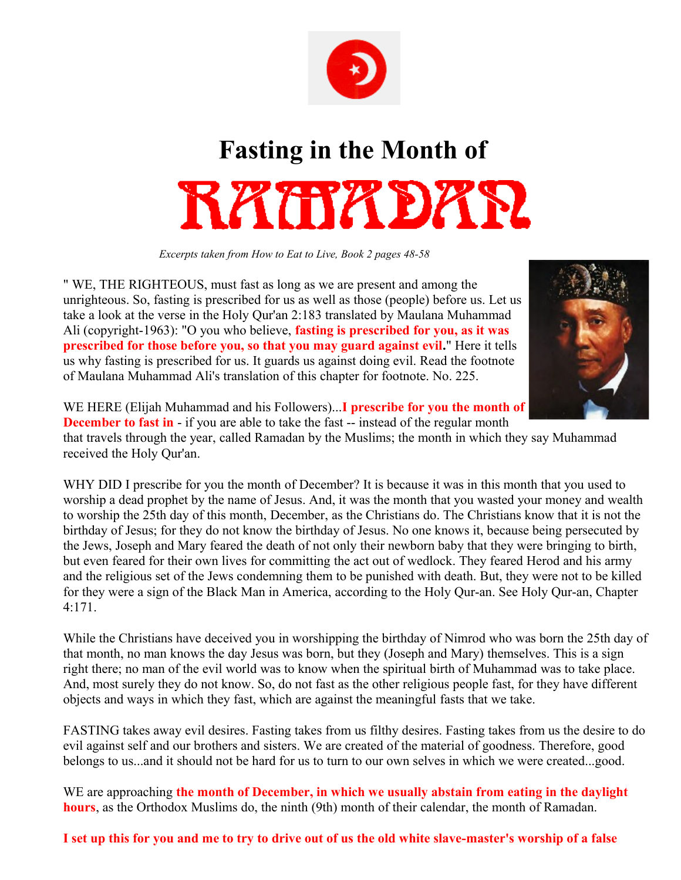

## **Fasting in the Month of**  RATTADAR.

*Excerpts taken from How to Eat to Live, Book 2 pages 48-58*

" WE, THE RIGHTEOUS, must fast as long as we are present and among the unrighteous. So, fasting is prescribed for us as well as those (people) before us. Let us take a look at the verse in the Holy Qur'an 2:183 translated by Maulana Muhammad Ali (copyright-1963): "O you who believe, **fasting is prescribed for you, as it was prescribed for those before you, so that you may guard against evil.**" Here it tells us why fasting is prescribed for us. It guards us against doing evil. Read the footnote of Maulana Muhammad Ali's translation of this chapter for footnote. No. 225.



WE HERE (Elijah Muhammad and his Followers)...**I prescribe for you the month of December to fast in** - if you are able to take the fast -- instead of the regular month that travels through the year, called Ramadan by the Muslims; the month in which they say Muhammad received the Holy Qur'an.

WHY DID I prescribe for you the month of December? It is because it was in this month that you used to worship a dead prophet by the name of Jesus. And, it was the month that you wasted your money and wealth to worship the 25th day of this month, December, as the Christians do. The Christians know that it is not the birthday of Jesus; for they do not know the birthday of Jesus. No one knows it, because being persecuted by the Jews, Joseph and Mary feared the death of not only their newborn baby that they were bringing to birth, but even feared for their own lives for committing the act out of wedlock. They feared Herod and his army and the religious set of the Jews condemning them to be punished with death. But, they were not to be killed for they were a sign of the Black Man in America, according to the Holy Qur-an. See Holy Qur-an, Chapter 4:171.

While the Christians have deceived you in worshipping the birthday of Nimrod who was born the 25th day of that month, no man knows the day Jesus was born, but they (Joseph and Mary) themselves. This is a sign right there; no man of the evil world was to know when the spiritual birth of Muhammad was to take place. And, most surely they do not know. So, do not fast as the other religious people fast, for they have different objects and ways in which they fast, which are against the meaningful fasts that we take.

FASTING takes away evil desires. Fasting takes from us filthy desires. Fasting takes from us the desire to do evil against self and our brothers and sisters. We are created of the material of goodness. Therefore, good belongs to us...and it should not be hard for us to turn to our own selves in which we were created...good.

WE are approaching **the month of December, in which we usually abstain from eating in the daylight hours**, as the Orthodox Muslims do, the ninth (9th) month of their calendar, the month of Ramadan.

**I set up this for you and me to try to drive out of us the old white slave-master's worship of a false**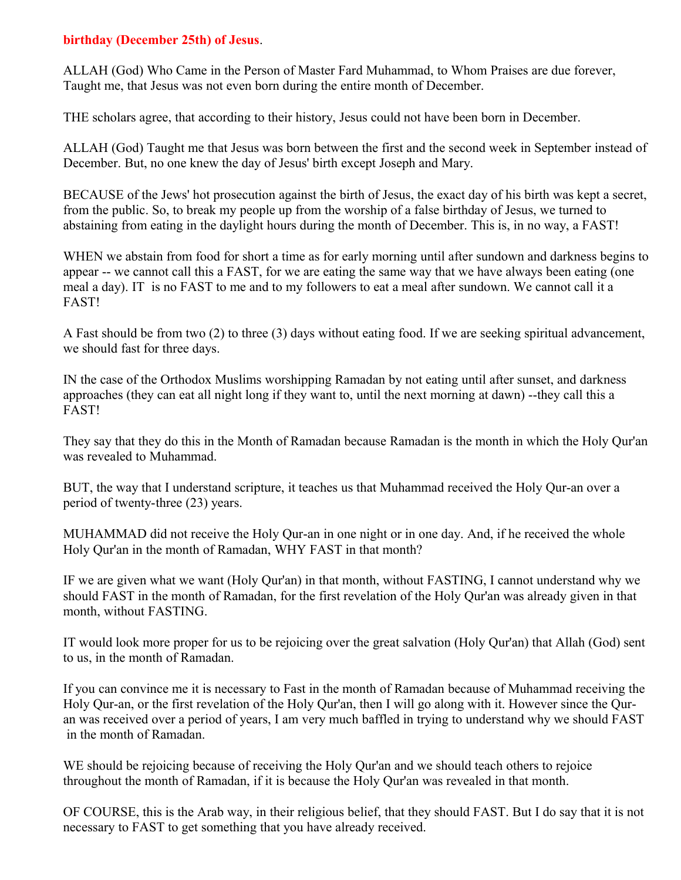## **birthday (December 25th) of Jesus**.

ALLAH (God) Who Came in the Person of Master Fard Muhammad, to Whom Praises are due forever, Taught me, that Jesus was not even born during the entire month of December.

THE scholars agree, that according to their history, Jesus could not have been born in December.

ALLAH (God) Taught me that Jesus was born between the first and the second week in September instead of December. But, no one knew the day of Jesus' birth except Joseph and Mary.

BECAUSE of the Jews' hot prosecution against the birth of Jesus, the exact day of his birth was kept a secret, from the public. So, to break my people up from the worship of a false birthday of Jesus, we turned to abstaining from eating in the daylight hours during the month of December. This is, in no way, a FAST!

WHEN we abstain from food for short a time as for early morning until after sundown and darkness begins to appear -- we cannot call this a FAST, for we are eating the same way that we have always been eating (one meal a day). IT is no FAST to me and to my followers to eat a meal after sundown. We cannot call it a FAST!

A Fast should be from two (2) to three (3) days without eating food. If we are seeking spiritual advancement, we should fast for three days.

IN the case of the Orthodox Muslims worshipping Ramadan by not eating until after sunset, and darkness approaches (they can eat all night long if they want to, until the next morning at dawn) --they call this a FAST!

They say that they do this in the Month of Ramadan because Ramadan is the month in which the Holy Qur'an was revealed to Muhammad.

BUT, the way that I understand scripture, it teaches us that Muhammad received the Holy Qur-an over a period of twenty-three (23) years.

MUHAMMAD did not receive the Holy Qur-an in one night or in one day. And, if he received the whole Holy Qur'an in the month of Ramadan, WHY FAST in that month?

IF we are given what we want (Holy Qur'an) in that month, without FASTING, I cannot understand why we should FAST in the month of Ramadan, for the first revelation of the Holy Qur'an was already given in that month, without FASTING.

IT would look more proper for us to be rejoicing over the great salvation (Holy Qur'an) that Allah (God) sent to us, in the month of Ramadan.

If you can convince me it is necessary to Fast in the month of Ramadan because of Muhammad receiving the Holy Qur-an, or the first revelation of the Holy Qur'an, then I will go along with it. However since the Quran was received over a period of years, I am very much baffled in trying to understand why we should FAST in the month of Ramadan.

WE should be rejoicing because of receiving the Holy Qur'an and we should teach others to rejoice throughout the month of Ramadan, if it is because the Holy Qur'an was revealed in that month.

OF COURSE, this is the Arab way, in their religious belief, that they should FAST. But I do say that it is not necessary to FAST to get something that you have already received.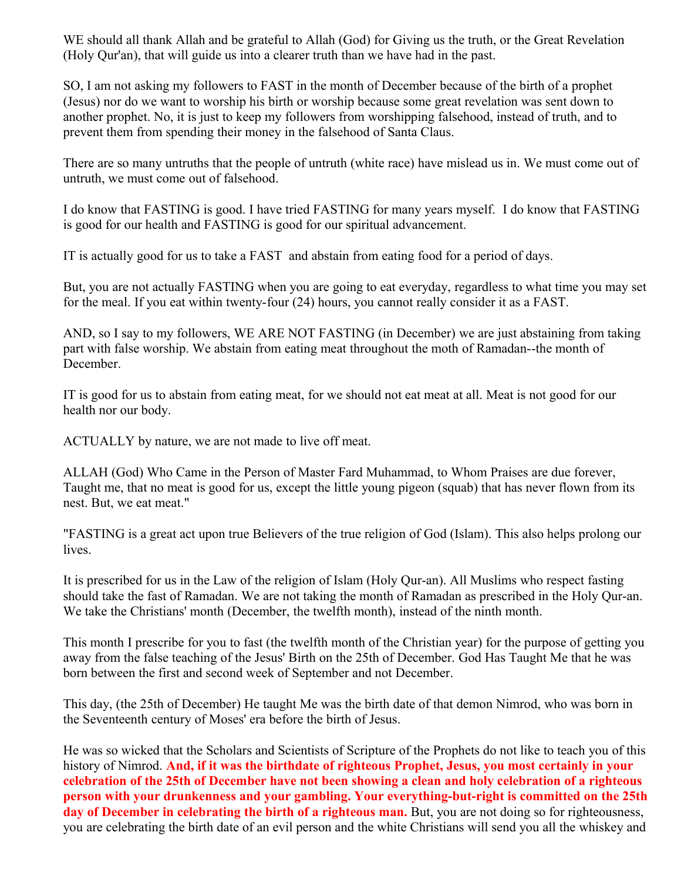WE should all thank Allah and be grateful to Allah (God) for Giving us the truth, or the Great Revelation (Holy Qur'an), that will guide us into a clearer truth than we have had in the past.

SO, I am not asking my followers to FAST in the month of December because of the birth of a prophet (Jesus) nor do we want to worship his birth or worship because some great revelation was sent down to another prophet. No, it is just to keep my followers from worshipping falsehood, instead of truth, and to prevent them from spending their money in the falsehood of Santa Claus.

There are so many untruths that the people of untruth (white race) have mislead us in. We must come out of untruth, we must come out of falsehood.

I do know that FASTING is good. I have tried FASTING for many years myself. I do know that FASTING is good for our health and FASTING is good for our spiritual advancement.

IT is actually good for us to take a FAST and abstain from eating food for a period of days.

But, you are not actually FASTING when you are going to eat everyday, regardless to what time you may set for the meal. If you eat within twenty-four (24) hours, you cannot really consider it as a FAST.

AND, so I say to my followers, WE ARE NOT FASTING (in December) we are just abstaining from taking part with false worship. We abstain from eating meat throughout the moth of Ramadan--the month of December.

IT is good for us to abstain from eating meat, for we should not eat meat at all. Meat is not good for our health nor our body.

ACTUALLY by nature, we are not made to live off meat.

ALLAH (God) Who Came in the Person of Master Fard Muhammad, to Whom Praises are due forever, Taught me, that no meat is good for us, except the little young pigeon (squab) that has never flown from its nest. But, we eat meat."

"FASTING is a great act upon true Believers of the true religion of God (Islam). This also helps prolong our lives.

It is prescribed for us in the Law of the religion of Islam (Holy Qur-an). All Muslims who respect fasting should take the fast of Ramadan. We are not taking the month of Ramadan as prescribed in the Holy Qur-an. We take the Christians' month (December, the twelfth month), instead of the ninth month.

This month I prescribe for you to fast (the twelfth month of the Christian year) for the purpose of getting you away from the false teaching of the Jesus' Birth on the 25th of December. God Has Taught Me that he was born between the first and second week of September and not December.

This day, (the 25th of December) He taught Me was the birth date of that demon Nimrod, who was born in the Seventeenth century of Moses' era before the birth of Jesus.

He was so wicked that the Scholars and Scientists of Scripture of the Prophets do not like to teach you of this history of Nimrod. **And, if it was the birthdate of righteous Prophet, Jesus, you most certainly in your celebration of the 25th of December have not been showing a clean and holy celebration of a righteous person with your drunkenness and your gambling. Your everything-but-right is committed on the 25th** day of December in celebrating the birth of a righteous man. But, you are not doing so for righteousness, you are celebrating the birth date of an evil person and the white Christians will send you all the whiskey and